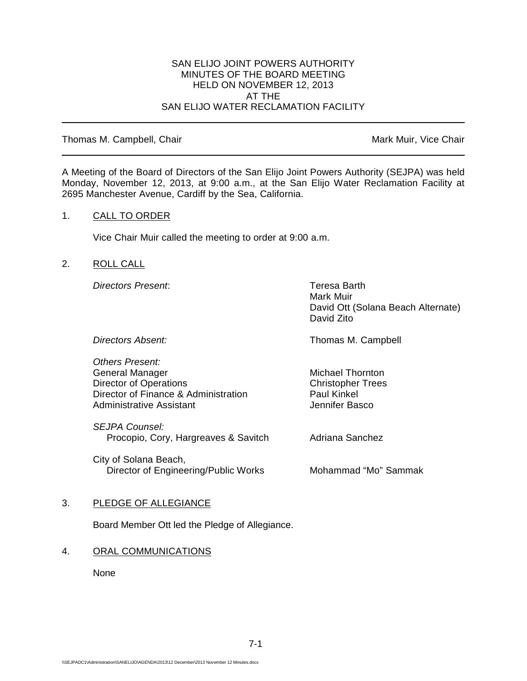#### SAN ELIJO JOINT POWERS AUTHORITY MINUTES OF THE BOARD MEETING HELD ON NOVEMBER 12, 2013 AT THE SAN ELIJO WATER RECLAMATION FACILITY

#### Thomas M. Campbell, Chair Mark Muir, Vice Chair Muir, Vice Chair

A Meeting of the Board of Directors of the San Elijo Joint Powers Authority (SEJPA) was held Monday, November 12, 2013, at 9:00 a.m., at the San Elijo Water Reclamation Facility at 2695 Manchester Avenue, Cardiff by the Sea, California.

## 1. CALL TO ORDER

Vice Chair Muir called the meeting to order at 9:00 a.m.

## 2. ROLL CALL

*Directors Present*: Teresa Barth

Mark Muir David Ott (Solana Beach Alternate) David Zito

*Directors Absent:* Thomas M. Campbell

*Others Present:* General Manager Michael Thornton Director of Operations<br>
Director of Finance & Administration<br>
Director of Finance & Administration<br>
Daul Kinkel Director of Finance & Administration Administrative Assistant Jennifer Basco

*SEJPA Counsel:* Procopio, Cory, Hargreaves & Savitch Adriana Sanchez

City of Solana Beach, Director of Engineering/Public Works Mohammad "Mo" Sammak

## 3. PLEDGE OF ALLEGIANCE

Board Member Ott led the Pledge of Allegiance.

#### 4. ORAL COMMUNICATIONS

None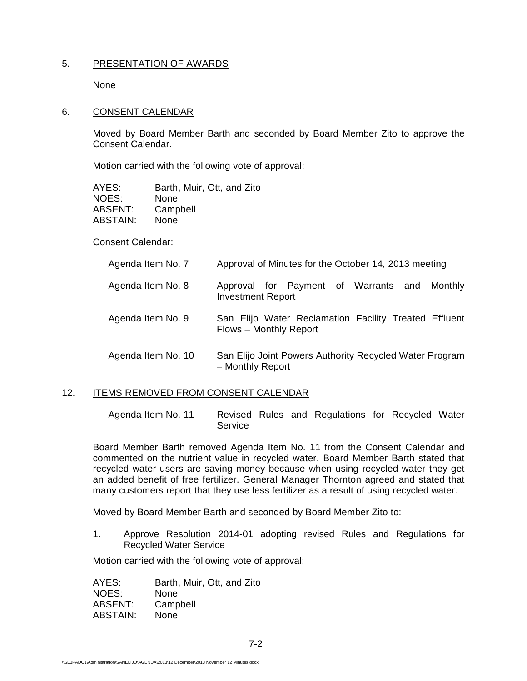## 5. PRESENTATION OF AWARDS

None

#### 6. CONSENT CALENDAR

Moved by Board Member Barth and seconded by Board Member Zito to approve the Consent Calendar.

Motion carried with the following vote of approval:

| AYES:    | Barth, Muir, Ott, and Zito |
|----------|----------------------------|
| NOES:    | None                       |
| ABSENT:  | Campbell                   |
| ABSTAIN: | None                       |

Consent Calendar:

| Agenda Item No. 7  | Approval of Minutes for the October 14, 2013 meeting                            |
|--------------------|---------------------------------------------------------------------------------|
| Agenda Item No. 8  | Approval for Payment of Warrants and<br>Monthly<br><b>Investment Report</b>     |
| Agenda Item No. 9  | San Elijo Water Reclamation Facility Treated Effluent<br>Flows - Monthly Report |
| Agenda Item No. 10 | San Elijo Joint Powers Authority Recycled Water Program<br>- Monthly Report     |

#### 12. ITEMS REMOVED FROM CONSENT CALENDAR

Agenda Item No. 11 Revised Rules and Regulations for Recycled Water **Service** 

Board Member Barth removed Agenda Item No. 11 from the Consent Calendar and commented on the nutrient value in recycled water. Board Member Barth stated that recycled water users are saving money because when using recycled water they get an added benefit of free fertilizer. General Manager Thornton agreed and stated that many customers report that they use less fertilizer as a result of using recycled water.

Moved by Board Member Barth and seconded by Board Member Zito to:

1. Approve Resolution 2014-01 adopting revised Rules and Regulations for Recycled Water Service

Motion carried with the following vote of approval:

AYES: Barth, Muir, Ott, and Zito NOES: None ABSENT: Campbell<br>ABSTAIN: None **ABSTAIN:**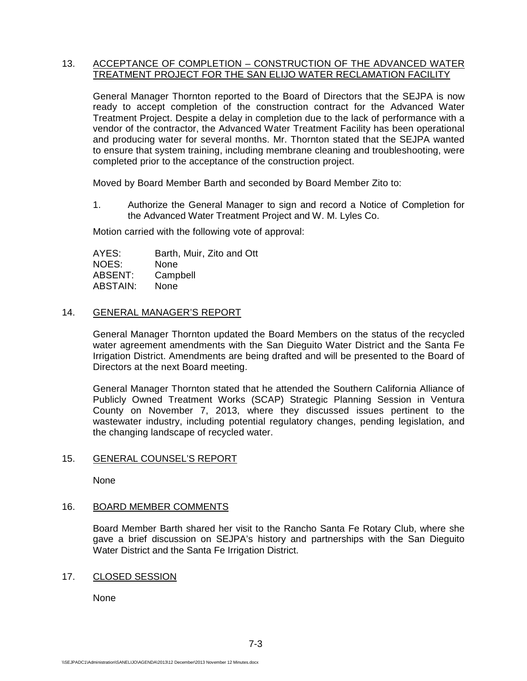## 13. ACCEPTANCE OF COMPLETION - CONSTRUCTION OF THE ADVANCED WATER TREATMENT PROJECT FOR THE SAN ELIJO WATER RECLAMATION FACILITY

General Manager Thornton reported to the Board of Directors that the SEJPA is now ready to accept completion of the construction contract for the Advanced Water Treatment Project. Despite a delay in completion due to the lack of performance with a vendor of the contractor, the Advanced Water Treatment Facility has been operational and producing water for several months. Mr. Thornton stated that the SEJPA wanted to ensure that system training, including membrane cleaning and troubleshooting, were completed prior to the acceptance of the construction project.

Moved by Board Member Barth and seconded by Board Member Zito to:

1. Authorize the General Manager to sign and record a Notice of Completion for the Advanced Water Treatment Project and W. M. Lyles Co.

Motion carried with the following vote of approval:

AYES: Barth, Muir, Zito and Ott NOES: None ABSENT: Campbell ABSTAIN: None

#### 14. GENERAL MANAGER'S REPORT

General Manager Thornton updated the Board Members on the status of the recycled water agreement amendments with the San Dieguito Water District and the Santa Fe Irrigation District. Amendments are being drafted and will be presented to the Board of Directors at the next Board meeting.

General Manager Thornton stated that he attended the Southern California Alliance of Publicly Owned Treatment Works (SCAP) Strategic Planning Session in Ventura County on November 7, 2013, where they discussed issues pertinent to the wastewater industry, including potential regulatory changes, pending legislation, and the changing landscape of recycled water.

#### 15. GENERAL COUNSEL'S REPORT

None

#### 16. BOARD MEMBER COMMENTS

Board Member Barth shared her visit to the Rancho Santa Fe Rotary Club, where she gave a brief discussion on SEJPA's history and partnerships with the San Dieguito Water District and the Santa Fe Irrigation District.

#### 17. CLOSED SESSION

None